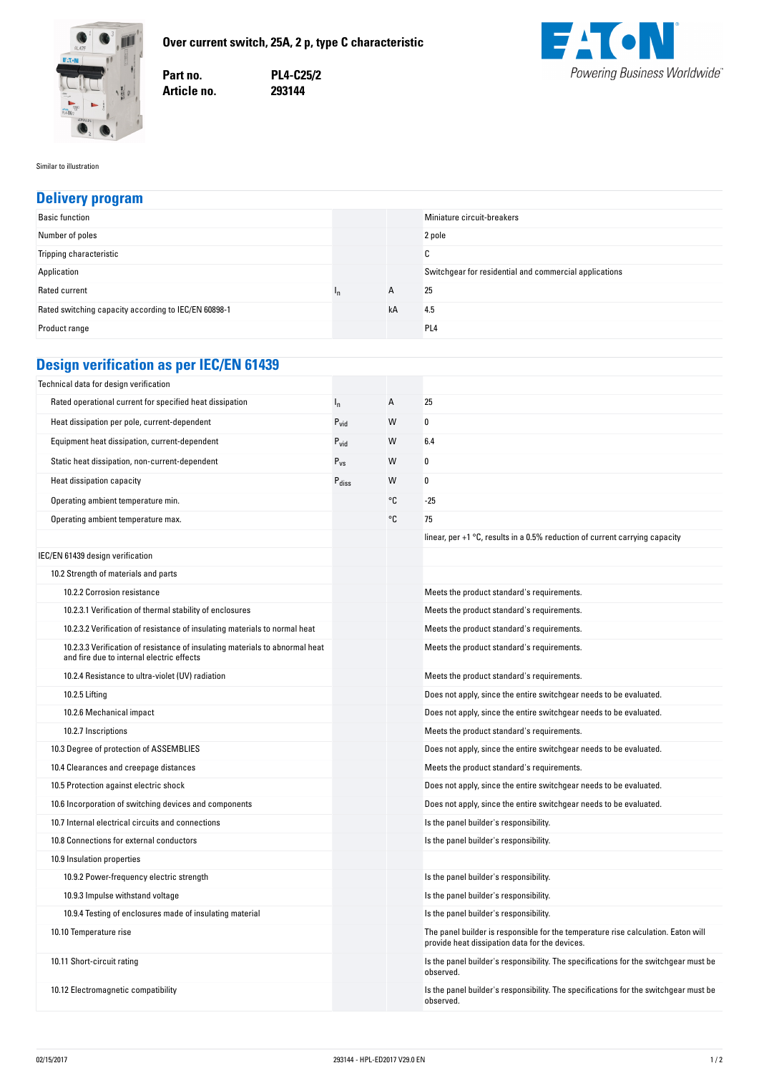

**Over-current-switch,-25A,-2-p,-type-C-characteristic**

**no. PL4-C25/2 no. 293144**



Similar to illustration

## **Delivery-program**

| <b>Basic function</b>                                |     |    | Miniature circuit-breakers                             |
|------------------------------------------------------|-----|----|--------------------------------------------------------|
| Number of poles                                      |     |    | 2 pole                                                 |
| Tripping characteristic                              |     |    | $\sim$<br>u                                            |
| Application                                          |     |    | Switchgear for residential and commercial applications |
| Rated current                                        | In. | A  | 25                                                     |
| Rated switching capacity according to IEC/EN 60898-1 |     | kA | 4.5                                                    |
| Product range                                        |     |    | PL <sub>4</sub>                                        |

## **Design-verification-as-per-IEC/EN-61439**

Part no.

Article no.

| Technical data for design verification                                                                                    |                   |    |                                                                                                                                     |
|---------------------------------------------------------------------------------------------------------------------------|-------------------|----|-------------------------------------------------------------------------------------------------------------------------------------|
| Rated operational current for specified heat dissipation                                                                  | $I_{n}$           | А  | 25                                                                                                                                  |
| Heat dissipation per pole, current-dependent                                                                              | $P_{vid}$         | W  | 0                                                                                                                                   |
| Equipment heat dissipation, current-dependent                                                                             | $P_{\text{vid}}$  | W  | 6.4                                                                                                                                 |
| Static heat dissipation, non-current-dependent                                                                            | $P_{VS}$          | W  | 0                                                                                                                                   |
| Heat dissipation capacity                                                                                                 | $P_{\text{diss}}$ | W  | 0                                                                                                                                   |
| Operating ambient temperature min.                                                                                        |                   | °C | $-25$                                                                                                                               |
| Operating ambient temperature max.                                                                                        |                   | °C | 75                                                                                                                                  |
|                                                                                                                           |                   |    | linear, per $+1$ °C, results in a 0.5% reduction of current carrying capacity                                                       |
| IEC/EN 61439 design verification                                                                                          |                   |    |                                                                                                                                     |
| 10.2 Strength of materials and parts                                                                                      |                   |    |                                                                                                                                     |
| 10.2.2 Corrosion resistance                                                                                               |                   |    | Meets the product standard's requirements.                                                                                          |
| 10.2.3.1 Verification of thermal stability of enclosures                                                                  |                   |    | Meets the product standard's requirements.                                                                                          |
| 10.2.3.2 Verification of resistance of insulating materials to normal heat                                                |                   |    | Meets the product standard's requirements.                                                                                          |
| 10.2.3.3 Verification of resistance of insulating materials to abnormal heat<br>and fire due to internal electric effects |                   |    | Meets the product standard's requirements.                                                                                          |
| 10.2.4 Resistance to ultra-violet (UV) radiation                                                                          |                   |    | Meets the product standard's requirements.                                                                                          |
| 10.2.5 Lifting                                                                                                            |                   |    | Does not apply, since the entire switchgear needs to be evaluated.                                                                  |
| 10.2.6 Mechanical impact                                                                                                  |                   |    | Does not apply, since the entire switchgear needs to be evaluated.                                                                  |
| 10.2.7 Inscriptions                                                                                                       |                   |    | Meets the product standard's requirements.                                                                                          |
| 10.3 Degree of protection of ASSEMBLIES                                                                                   |                   |    | Does not apply, since the entire switchgear needs to be evaluated.                                                                  |
| 10.4 Clearances and creepage distances                                                                                    |                   |    | Meets the product standard's requirements.                                                                                          |
| 10.5 Protection against electric shock                                                                                    |                   |    | Does not apply, since the entire switchgear needs to be evaluated.                                                                  |
| 10.6 Incorporation of switching devices and components                                                                    |                   |    | Does not apply, since the entire switchgear needs to be evaluated.                                                                  |
| 10.7 Internal electrical circuits and connections                                                                         |                   |    | Is the panel builder's responsibility.                                                                                              |
| 10.8 Connections for external conductors                                                                                  |                   |    | Is the panel builder's responsibility.                                                                                              |
| 10.9 Insulation properties                                                                                                |                   |    |                                                                                                                                     |
| 10.9.2 Power-frequency electric strength                                                                                  |                   |    | Is the panel builder's responsibility.                                                                                              |
| 10.9.3 Impulse withstand voltage                                                                                          |                   |    | Is the panel builder's responsibility.                                                                                              |
| 10.9.4 Testing of enclosures made of insulating material                                                                  |                   |    | Is the panel builder's responsibility.                                                                                              |
| 10.10 Temperature rise                                                                                                    |                   |    | The panel builder is responsible for the temperature rise calculation. Eaton will<br>provide heat dissipation data for the devices. |
| 10.11 Short-circuit rating                                                                                                |                   |    | Is the panel builder's responsibility. The specifications for the switchgear must be<br>observed.                                   |
| 10.12 Electromagnetic compatibility                                                                                       |                   |    | Is the panel builder's responsibility. The specifications for the switchgear must be<br>observed.                                   |